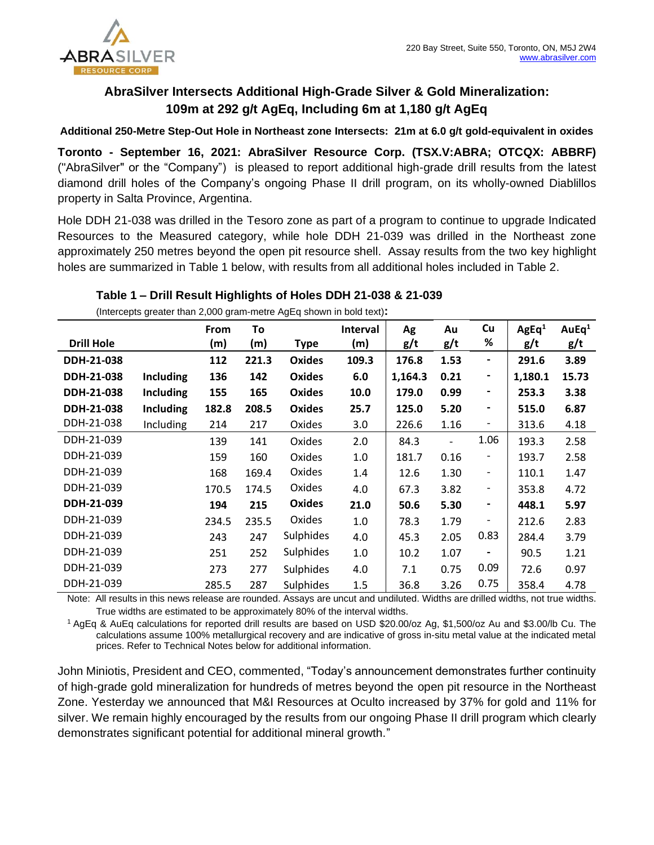

# **AbraSilver Intersects Additional High-Grade Silver & Gold Mineralization: 109m at 292 g/t AgEq, Including 6m at 1,180 g/t AgEq**

**Additional 250-Metre Step-Out Hole in Northeast zone Intersects: 21m at 6.0 g/t gold-equivalent in oxides**

**Toronto - September 16, 2021: AbraSilver Resource Corp. (TSX.V:ABRA; OTCQX: ABBRF)**  ("AbraSilver" or the "Company") is pleased to report additional high-grade drill results from the latest diamond drill holes of the Company's ongoing Phase II drill program, on its wholly-owned Diablillos property in Salta Province, Argentina.

Hole DDH 21-038 was drilled in the Tesoro zone as part of a program to continue to upgrade Indicated Resources to the Measured category, while hole DDH 21-039 was drilled in the Northeast zone approximately 250 metres beyond the open pit resource shell. Assay results from the two key highlight holes are summarized in Table 1 below, with results from all additional holes included in Table 2.

### **Table 1 – Drill Result Highlights of Holes DDH 21-038 & 21-039**

(Intercepts greater than 2,000 gram-metre AgEq shown in bold text)**:**

|                   |                  | <b>From</b> | To    |                  | <b>Interval</b> | Ag      | Au   | Cu                       | AgEq <sup>1</sup> | AuEq <sup>1</sup> |
|-------------------|------------------|-------------|-------|------------------|-----------------|---------|------|--------------------------|-------------------|-------------------|
| <b>Drill Hole</b> |                  | (m)         | (m)   | <b>Type</b>      | (m)             | g/t     | g/t  | %                        | g/t               | g/t               |
| DDH-21-038        |                  | 112         | 221.3 | <b>Oxides</b>    | 109.3           | 176.8   | 1.53 | $\blacksquare$           | 291.6             | 3.89              |
| DDH-21-038        | <b>Including</b> | 136         | 142   | <b>Oxides</b>    | 6.0             | 1,164.3 | 0.21 | $\blacksquare$           | 1,180.1           | 15.73             |
| DDH-21-038        | <b>Including</b> | 155         | 165   | <b>Oxides</b>    | 10.0            | 179.0   | 0.99 | $\overline{\phantom{a}}$ | 253.3             | 3.38              |
| DDH-21-038        | <b>Including</b> | 182.8       | 208.5 | <b>Oxides</b>    | 25.7            | 125.0   | 5.20 | $\overline{\phantom{a}}$ | 515.0             | 6.87              |
| DDH-21-038        | Including        | 214         | 217   | Oxides           | 3.0             | 226.6   | 1.16 | -                        | 313.6             | 4.18              |
| DDH-21-039        |                  | 139         | 141   | Oxides           | 2.0             | 84.3    | -    | 1.06                     | 193.3             | 2.58              |
| DDH-21-039        |                  | 159         | 160   | Oxides           | 1.0             | 181.7   | 0.16 | $\overline{\phantom{a}}$ | 193.7             | 2.58              |
| DDH-21-039        |                  | 168         | 169.4 | Oxides           | 1.4             | 12.6    | 1.30 | $\overline{\phantom{a}}$ | 110.1             | 1.47              |
| DDH-21-039        |                  | 170.5       | 174.5 | Oxides           | 4.0             | 67.3    | 3.82 | $\overline{\phantom{a}}$ | 353.8             | 4.72              |
| DDH-21-039        |                  | 194         | 215   | <b>Oxides</b>    | 21.0            | 50.6    | 5.30 | $\blacksquare$           | 448.1             | 5.97              |
| DDH-21-039        |                  | 234.5       | 235.5 | Oxides           | 1.0             | 78.3    | 1.79 |                          | 212.6             | 2.83              |
| DDH-21-039        |                  | 243         | 247   | Sulphides        | 4.0             | 45.3    | 2.05 | 0.83                     | 284.4             | 3.79              |
| DDH-21-039        |                  | 251         | 252   | <b>Sulphides</b> | 1.0             | 10.2    | 1.07 |                          | 90.5              | 1.21              |
| DDH-21-039        |                  | 273         | 277   | Sulphides        | 4.0             | 7.1     | 0.75 | 0.09                     | 72.6              | 0.97              |
| DDH-21-039        |                  | 285.5       | 287   | <b>Sulphides</b> | 1.5             | 36.8    | 3.26 | 0.75                     | 358.4             | 4.78              |

Note: All results in this news release are rounded. Assays are uncut and undiluted. Widths are drilled widths, not true widths. True widths are estimated to be approximately 80% of the interval widths.

<sup>1</sup>AgEq & AuEq calculations for reported drill results are based on USD \$20.00/oz Ag, \$1,500/oz Au and \$3.00/lb Cu. The calculations assume 100% metallurgical recovery and are indicative of gross in-situ metal value at the indicated metal prices. Refer to Technical Notes below for additional information.

John Miniotis, President and CEO, commented, "Today's announcement demonstrates further continuity of high-grade gold mineralization for hundreds of metres beyond the open pit resource in the Northeast Zone. Yesterday we announced that M&I Resources at Oculto increased by 37% for gold and 11% for silver. We remain highly encouraged by the results from our ongoing Phase II drill program which clearly demonstrates significant potential for additional mineral growth."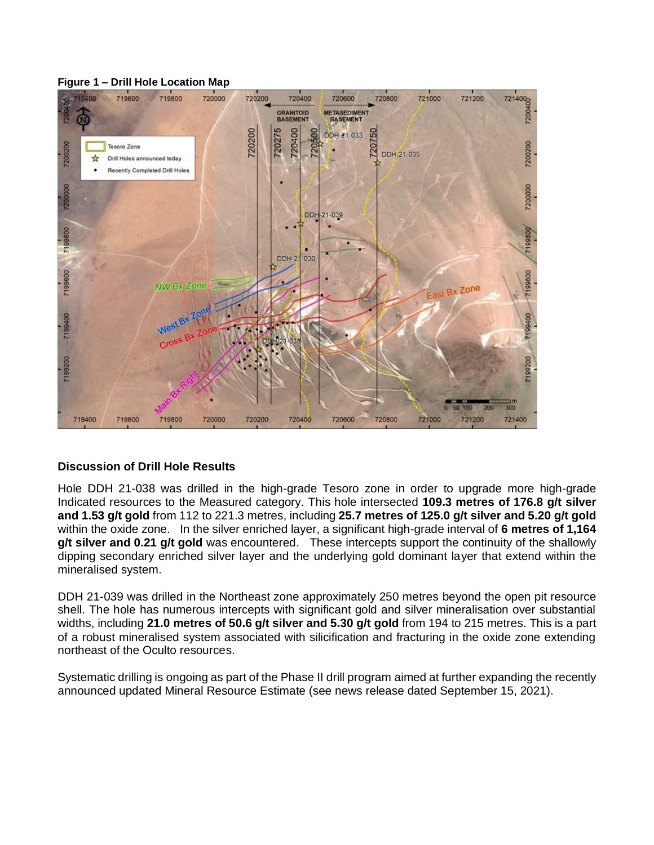#### **Figure 1 – Drill Hole Location Map**



## **Discussion of Drill Hole Results**

Hole DDH 21-038 was drilled in the high-grade Tesoro zone in order to upgrade more high-grade Indicated resources to the Measured category. This hole intersected **109.3 metres of 176.8 g/t silver and 1.53 g/t gold** from 112 to 221.3 metres, including **25.7 metres of 125.0 g/t silver and 5.20 g/t gold** within the oxide zone. In the silver enriched layer, a significant high-grade interval of **6 metres of 1,164 g/t silver and 0.21 g/t gold** was encountered. These intercepts support the continuity of the shallowly dipping secondary enriched silver layer and the underlying gold dominant layer that extend within the mineralised system.

DDH 21-039 was drilled in the Northeast zone approximately 250 metres beyond the open pit resource shell. The hole has numerous intercepts with significant gold and silver mineralisation over substantial widths, including **21.0 metres of 50.6 g/t silver and 5.30 g/t gold** from 194 to 215 metres. This is a part of a robust mineralised system associated with silicification and fracturing in the oxide zone extending northeast of the Oculto resources.

Systematic drilling is ongoing as part of the Phase II drill program aimed at further expanding the recently announced updated Mineral Resource Estimate (see news release dated September 15, 2021).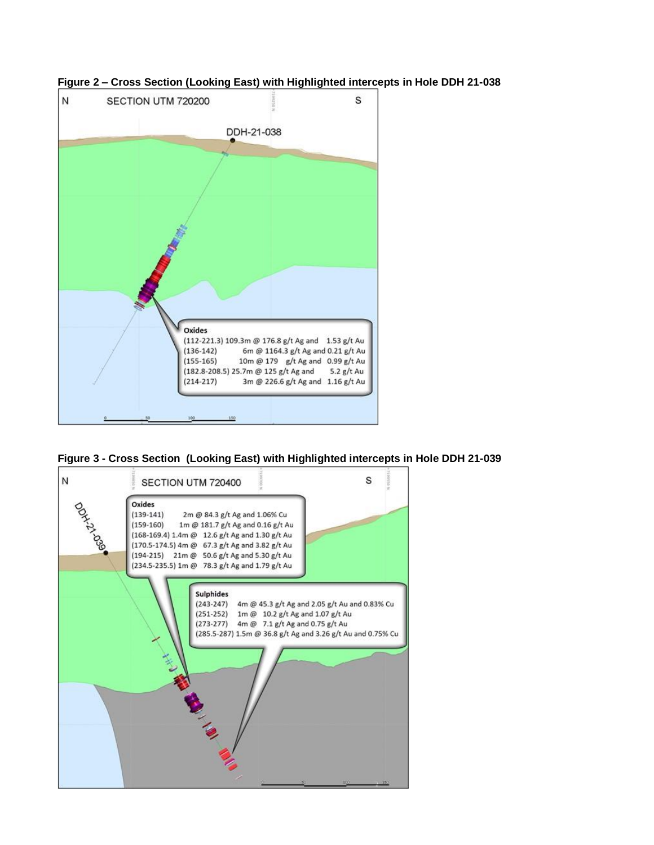

**Figure 2 – Cross Section (Looking East) with Highlighted intercepts in Hole DDH 21-038** 

**Figure 3 - Cross Section (Looking East) with Highlighted intercepts in Hole DDH 21-039** 

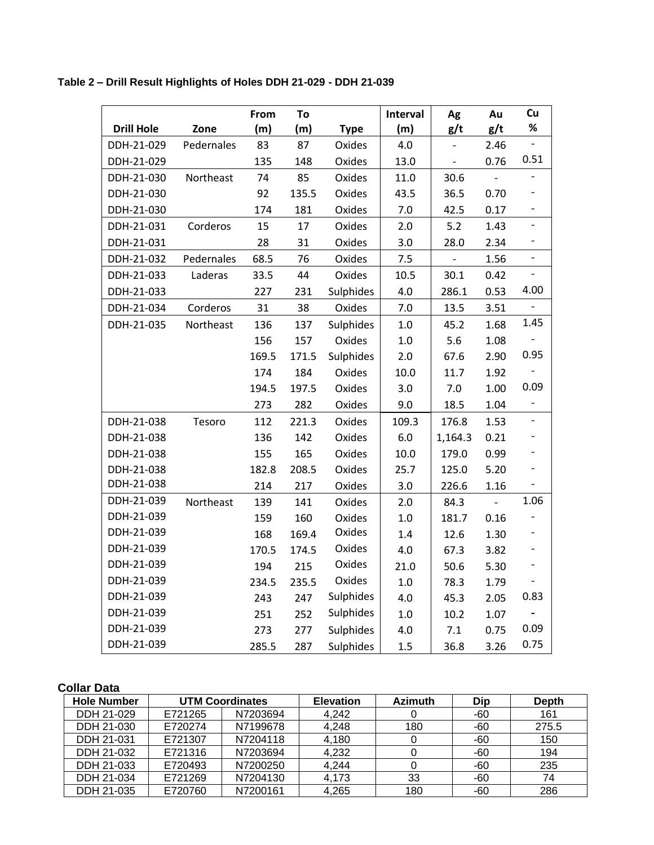**Table 2 – Drill Result Highlights of Holes DDH 21-029 - DDH 21-039** 

|                   |            | From  | To    |             | Interval | Ag             | Au   | Cu                       |
|-------------------|------------|-------|-------|-------------|----------|----------------|------|--------------------------|
| <b>Drill Hole</b> | Zone       | (m)   | (m)   | <b>Type</b> | (m)      | g/t            | g/t  | %                        |
| DDH-21-029        | Pedernales | 83    | 87    | Oxides      | 4.0      |                | 2.46 |                          |
| DDH-21-029        |            | 135   | 148   | Oxides      | 13.0     | $\blacksquare$ | 0.76 | 0.51                     |
| DDH-21-030        | Northeast  | 74    | 85    | Oxides      | 11.0     | 30.6           |      |                          |
| DDH-21-030        |            | 92    | 135.5 | Oxides      | 43.5     | 36.5           | 0.70 |                          |
| DDH-21-030        |            | 174   | 181   | Oxides      | 7.0      | 42.5           | 0.17 | $\qquad \qquad -$        |
| DDH-21-031        | Corderos   | 15    | 17    | Oxides      | 2.0      | 5.2            | 1.43 | $\overline{\phantom{a}}$ |
| DDH-21-031        |            | 28    | 31    | Oxides      | 3.0      | 28.0           | 2.34 | $\overline{a}$           |
| DDH-21-032        | Pedernales | 68.5  | 76    | Oxides      | 7.5      |                | 1.56 |                          |
| DDH-21-033        | Laderas    | 33.5  | 44    | Oxides      | 10.5     | 30.1           | 0.42 |                          |
| DDH-21-033        |            | 227   | 231   | Sulphides   | 4.0      | 286.1          | 0.53 | 4.00                     |
| DDH-21-034        | Corderos   | 31    | 38    | Oxides      | 7.0      | 13.5           | 3.51 | $\overline{\phantom{0}}$ |
| DDH-21-035        | Northeast  | 136   | 137   | Sulphides   | 1.0      | 45.2           | 1.68 | 1.45                     |
|                   |            | 156   | 157   | Oxides      | $1.0\,$  | 5.6            | 1.08 |                          |
|                   |            | 169.5 | 171.5 | Sulphides   | 2.0      | 67.6           | 2.90 | 0.95                     |
|                   |            | 174   | 184   | Oxides      | 10.0     | 11.7           | 1.92 | $\qquad \qquad -$        |
|                   |            | 194.5 | 197.5 | Oxides      | 3.0      | 7.0            | 1.00 | 0.09                     |
|                   |            | 273   | 282   | Oxides      | 9.0      | 18.5           | 1.04 |                          |
| DDH-21-038        | Tesoro     | 112   | 221.3 | Oxides      | 109.3    | 176.8          | 1.53 | $\qquad \qquad -$        |
| DDH-21-038        |            | 136   | 142   | Oxides      | $6.0\,$  | 1,164.3        | 0.21 |                          |
| DDH-21-038        |            | 155   | 165   | Oxides      | 10.0     | 179.0          | 0.99 | $\overline{\phantom{0}}$ |
| DDH-21-038        |            | 182.8 | 208.5 | Oxides      | 25.7     | 125.0          | 5.20 | $\overline{\phantom{0}}$ |
| DDH-21-038        |            | 214   | 217   | Oxides      | 3.0      | 226.6          | 1.16 |                          |
| DDH-21-039        | Northeast  | 139   | 141   | Oxides      | 2.0      | 84.3           |      | 1.06                     |
| DDH-21-039        |            | 159   | 160   | Oxides      | $1.0\,$  | 181.7          | 0.16 | -                        |
| DDH-21-039        |            | 168   | 169.4 | Oxides      | 1.4      | 12.6           | 1.30 | $\overline{\phantom{0}}$ |
| DDH-21-039        |            | 170.5 | 174.5 | Oxides      | 4.0      | 67.3           | 3.82 | $\overline{\phantom{0}}$ |
| DDH-21-039        |            | 194   | 215   | Oxides      | 21.0     | 50.6           | 5.30 |                          |
| DDH-21-039        |            | 234.5 | 235.5 | Oxides      | 1.0      | 78.3           | 1.79 |                          |
| DDH-21-039        |            | 243   | 247   | Sulphides   | 4.0      | 45.3           | 2.05 | 0.83                     |
| DDH-21-039        |            | 251   | 252   | Sulphides   | 1.0      | 10.2           | 1.07 |                          |
| DDH-21-039        |            | 273   | 277   | Sulphides   | 4.0      | 7.1            | 0.75 | 0.09                     |
| DDH-21-039        |            | 285.5 | 287   | Sulphides   | 1.5      | 36.8           | 3.26 | 0.75                     |

# **Collar Data**

| <b>Hole Number</b> | <b>UTM Coordinates</b> |          | <b>Elevation</b> | <b>Azimuth</b> | Dip | <b>Depth</b> |
|--------------------|------------------------|----------|------------------|----------------|-----|--------------|
| DDH 21-029         | E721265                | N7203694 | 4.242            | 0              | -60 | 161          |
| DDH 21-030         | E720274                | N7199678 | 4,248            | 180            | -60 | 275.5        |
| DDH 21-031         | E721307                | N7204118 | 4,180            | 0              | -60 | 150          |
| DDH 21-032         | E721316                | N7203694 | 4,232            | 0              | -60 | 194          |
| DDH 21-033         | E720493                | N7200250 | 4,244            |                | -60 | 235          |
| DDH 21-034         | E721269                | N7204130 | 4.173            | 33             | -60 | 74           |
| DDH 21-035         | E720760                | N7200161 | 4.265            | 180            | -60 | 286          |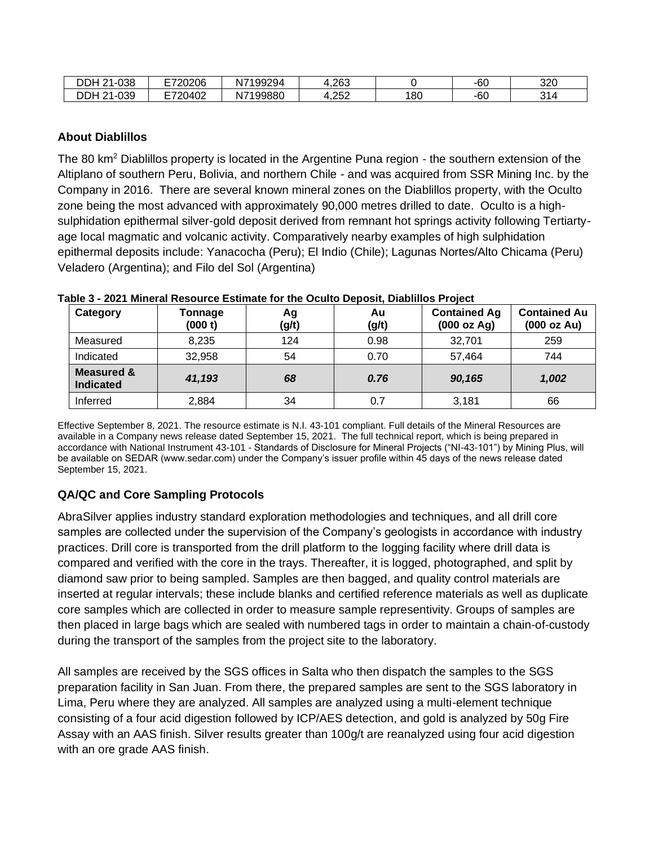| DDH<br>1-038<br>ົ      | E720206        | 17199294<br>Ν. | 1,263        |     | $-60$ | 320     |
|------------------------|----------------|----------------|--------------|-----|-------|---------|
| DDH<br>1-039<br>$\sim$ | E720402<br>9∪+ | J7199880<br>N. | クちつ<br>8.LJL | 180 | -60   | ⌒ィ<br>ີ |

# **About Diablillos**

The 80 km<sup>2</sup> Diablillos property is located in the Argentine Puna region - the southern extension of the Altiplano of southern Peru, Bolivia, and northern Chile - and was acquired from SSR Mining Inc. by the Company in 2016. There are several known mineral zones on the Diablillos property, with the Oculto zone being the most advanced with approximately 90,000 metres drilled to date. Oculto is a highsulphidation epithermal silver-gold deposit derived from remnant hot springs activity following Tertiartyage local magmatic and volcanic activity. Comparatively nearby examples of high sulphidation epithermal deposits include: Yanacocha (Peru); El Indio (Chile); Lagunas Nortes/Alto Chicama (Peru) Veladero (Argentina); and Filo del Sol (Argentina)

| Category                                  | Tonnage<br>(000 t) | Ag<br>(g/t) | Au<br>(g/t) | <b>Contained Ag</b><br>(000 oz Ag) | <b>Contained Au</b><br>(000 oz Au) |
|-------------------------------------------|--------------------|-------------|-------------|------------------------------------|------------------------------------|
| Measured                                  | 8,235              | 124         | 0.98        | 32,701                             | 259                                |
| Indicated                                 | 32,958             | 54          | 0.70        | 57,464                             | 744                                |
| <b>Measured &amp;</b><br><b>Indicated</b> | 41,193             | 68          | 0.76        | 90,165                             | 1,002                              |
| Inferred                                  | 2,884              | 34          | 0.7         | 3,181                              | 66                                 |

#### **Table 3 - 2021 Mineral Resource Estimate for the Oculto Deposit, Diablillos Project**

Effective September 8, 2021. The resource estimate is N.I. 43-101 compliant. Full details of the Mineral Resources are available in a Company news release dated September 15, 2021. The full technical report, which is being prepared in accordance with National Instrument 43-101 - Standards of Disclosure for Mineral Projects ("NI-43-101") by Mining Plus, will be available on SEDAR (www.sedar.com) under the Company's issuer profile within 45 days of the news release dated September 15, 2021.

# **QA/QC and Core Sampling Protocols**

AbraSilver applies industry standard exploration methodologies and techniques, and all drill core samples are collected under the supervision of the Company's geologists in accordance with industry practices. Drill core is transported from the drill platform to the logging facility where drill data is compared and verified with the core in the trays. Thereafter, it is logged, photographed, and split by diamond saw prior to being sampled. Samples are then bagged, and quality control materials are inserted at regular intervals; these include blanks and certified reference materials as well as duplicate core samples which are collected in order to measure sample representivity. Groups of samples are then placed in large bags which are sealed with numbered tags in order to maintain a chain-of-custody during the transport of the samples from the project site to the laboratory.

All samples are received by the SGS offices in Salta who then dispatch the samples to the SGS preparation facility in San Juan. From there, the prepared samples are sent to the SGS laboratory in Lima, Peru where they are analyzed. All samples are analyzed using a multi-element technique consisting of a four acid digestion followed by ICP/AES detection, and gold is analyzed by 50g Fire Assay with an AAS finish. Silver results greater than 100g/t are reanalyzed using four acid digestion with an ore grade AAS finish.